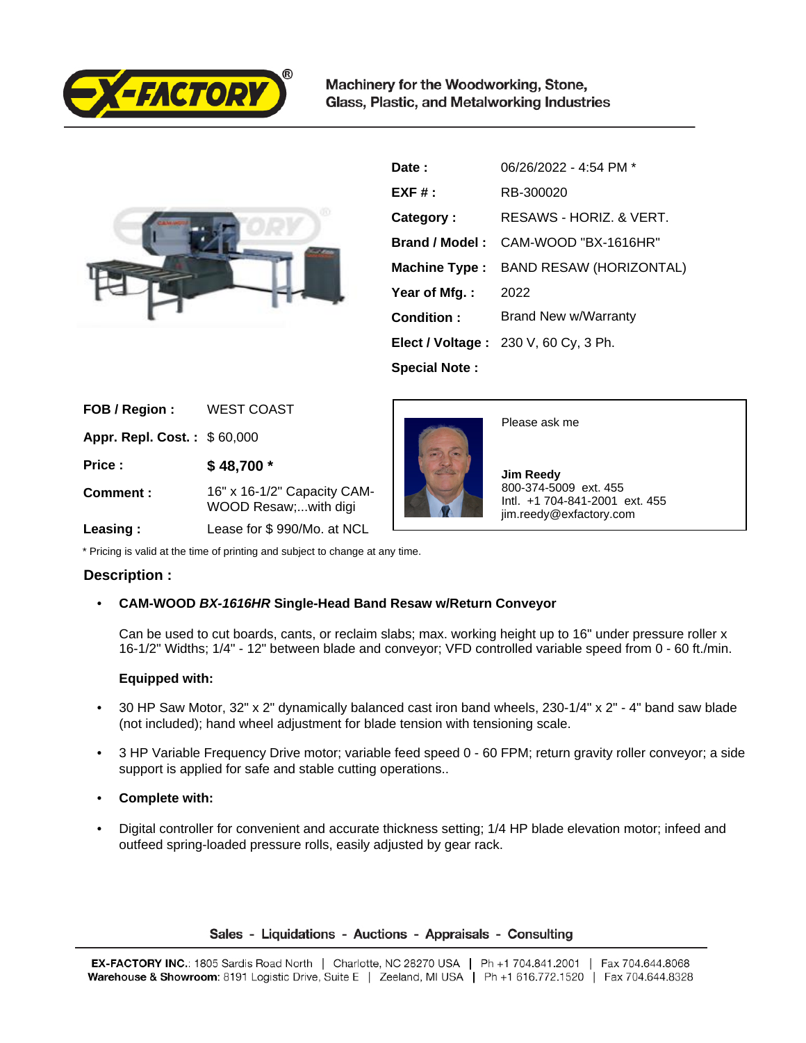

Machinery for the Woodworking, Stone, Glass, Plastic, and Metalworking Industries



| Date:                 | 06/26/2022 - 4:54 PM *               |
|-----------------------|--------------------------------------|
| $EXF#$ :              | RB-300020                            |
| Category:             | RESAWS - HORIZ, & VERT.              |
| Brand / Model:        | CAM-WOOD "BX-1616HR"                 |
| <b>Machine Type :</b> | BAND RESAW (HORIZONTAL)              |
| Year of Mfg.:         | 2022                                 |
| Condition:            | Brand New w/Warranty                 |
|                       | Elect / Voltage: 230 V, 60 Cy, 3 Ph. |
| <b>Special Note:</b>  |                                      |

| FOB / Region:                      | <b>WEST COAST</b>                                   |
|------------------------------------|-----------------------------------------------------|
| <b>Appr. Repl. Cost.: \$60,000</b> |                                                     |
| Price:                             | \$48,700 *                                          |
| Comment:                           | 16" x 16-1/2" Capacity CAM-<br>WOOD Resaw;with digi |
|                                    | $\mathbf{L}$                                        |



Please ask me

 **Jim Reedy** 800-374-5009 ext. 455 Intl. +1 704-841-2001 ext. 455 jim.reedy@exfactory.com

 **Leasing :** Lease for \$ 990/Mo. at NCL

\* Pricing is valid at the time of printing and subject to change at any time.

## **Description :**

## • **CAM-WOOD BX-1616HR Single-Head Band Resaw w/Return Conveyor**

Can be used to cut boards, cants, or reclaim slabs; max. working height up to 16" under pressure roller x 16-1/2" Widths; 1/4" - 12" between blade and conveyor; VFD controlled variable speed from 0 - 60 ft./min.

## **Equipped with:**

- 30 HP Saw Motor, 32" x 2" dynamically balanced cast iron band wheels, 230-1/4" x 2" 4" band saw blade (not included); hand wheel adjustment for blade tension with tensioning scale.
- 3 HP Variable Frequency Drive motor; variable feed speed 0 60 FPM; return gravity roller conveyor; a side support is applied for safe and stable cutting operations..
- **Complete with:**
- Digital controller for convenient and accurate thickness setting; 1/4 HP blade elevation motor; infeed and outfeed spring-loaded pressure rolls, easily adjusted by gear rack.

## Sales - Liquidations - Auctions - Appraisals - Consulting